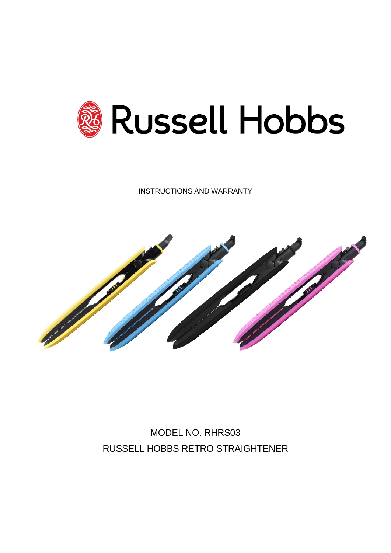

INSTRUCTIONS AND WARRANTY



MODEL NO. RHRS03 RUSSELL HOBBS RETRO STRAIGHTENER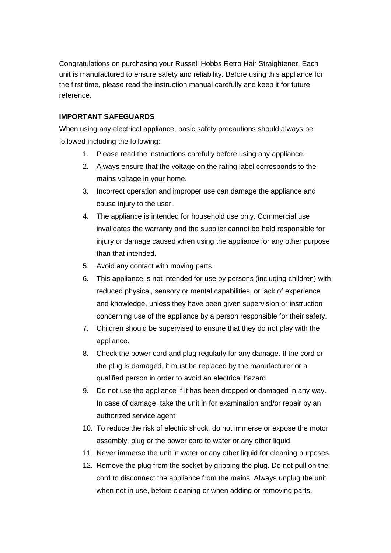Congratulations on purchasing your Russell Hobbs Retro Hair Straightener. Each unit is manufactured to ensure safety and reliability. Before using this appliance for the first time, please read the instruction manual carefully and keep it for future reference.

# **IMPORTANT SAFEGUARDS**

When using any electrical appliance, basic safety precautions should always be followed including the following:

- 1. Please read the instructions carefully before using any appliance.
- 2. Always ensure that the voltage on the rating label corresponds to the mains voltage in your home.
- 3. Incorrect operation and improper use can damage the appliance and cause injury to the user.
- 4. The appliance is intended for household use only. Commercial use invalidates the warranty and the supplier cannot be held responsible for injury or damage caused when using the appliance for any other purpose than that intended.
- 5. Avoid any contact with moving parts.
- 6. This appliance is not intended for use by persons (including children) with reduced physical, sensory or mental capabilities, or lack of experience and knowledge, unless they have been given supervision or instruction concerning use of the appliance by a person responsible for their safety.
- 7. Children should be supervised to ensure that they do not play with the appliance.
- 8. Check the power cord and plug regularly for any damage. If the cord or the plug is damaged, it must be replaced by the manufacturer or a qualified person in order to avoid an electrical hazard.
- 9. Do not use the appliance if it has been dropped or damaged in any way. In case of damage, take the unit in for examination and/or repair by an authorized service agent
- 10. To reduce the risk of electric shock, do not immerse or expose the motor assembly, plug or the power cord to water or any other liquid.
- 11. Never immerse the unit in water or any other liquid for cleaning purposes.
- 12. Remove the plug from the socket by gripping the plug. Do not pull on the cord to disconnect the appliance from the mains. Always unplug the unit when not in use, before cleaning or when adding or removing parts.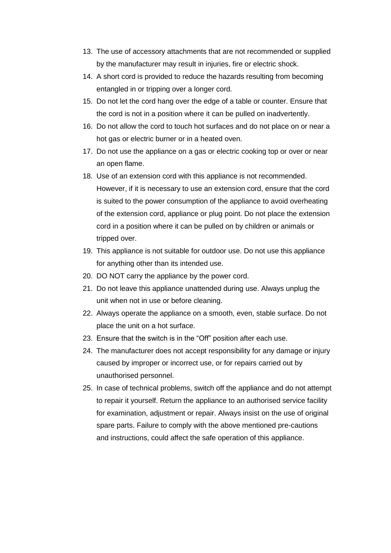- 13. The use of accessory attachments that are not recommended or supplied by the manufacturer may result in injuries, fire or electric shock.
- 14. A short cord is provided to reduce the hazards resulting from becoming entangled in or tripping over a longer cord.
- 15. Do not let the cord hang over the edge of a table or counter. Ensure that the cord is not in a position where it can be pulled on inadvertently.
- 16. Do not allow the cord to touch hot surfaces and do not place on or near a hot gas or electric burner or in a heated oven.
- 17. Do not use the appliance on a gas or electric cooking top or over or near an open flame.
- 18. Use of an extension cord with this appliance is not recommended. However, if it is necessary to use an extension cord, ensure that the cord is suited to the power consumption of the appliance to avoid overheating of the extension cord, appliance or plug point. Do not place the extension cord in a position where it can be pulled on by children or animals or tripped over.
- 19. This appliance is not suitable for outdoor use. Do not use this appliance for anything other than its intended use.
- 20. DO NOT carry the appliance by the power cord.
- 21. Do not leave this appliance unattended during use. Always unplug the unit when not in use or before cleaning.
- 22. Always operate the appliance on a smooth, even, stable surface. Do not place the unit on a hot surface.
- 23. Ensure that the switch is in the "Off" position after each use.
- 24. The manufacturer does not accept responsibility for any damage or injury caused by improper or incorrect use, or for repairs carried out by unauthorised personnel.
- 25. In case of technical problems, switch off the appliance and do not attempt to repair it yourself. Return the appliance to an authorised service facility for examination, adjustment or repair. Always insist on the use of original spare parts. Failure to comply with the above mentioned pre-cautions and instructions, could affect the safe operation of this appliance.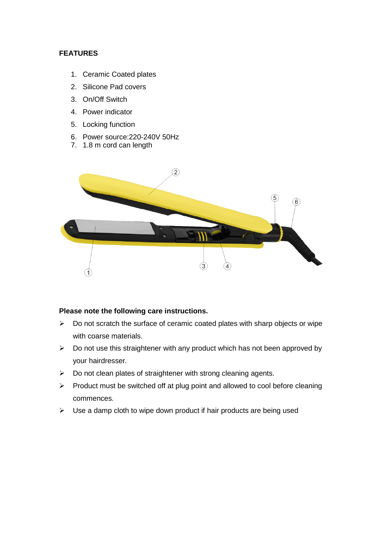## **FEATURES**

- 1. Ceramic Coated plates
- 2. Silicone Pad covers
- 3. On/Off Switch
- 4. Power indicator
- 5. Locking function
- 6. Power source:220-240V 50Hz
- 7. 1.8 m cord can length



### **Please note the following care instructions.**

- ➢ Do not scratch the surface of ceramic coated plates with sharp objects or wipe with coarse materials.
- $\triangleright$  Do not use this straightener with any product which has not been approved by your hairdresser.
- $\triangleright$  Do not clean plates of straightener with strong cleaning agents.
- ➢ Product must be switched off at plug point and allowed to cool before cleaning commences.
- $\triangleright$  Use a damp cloth to wipe down product if hair products are being used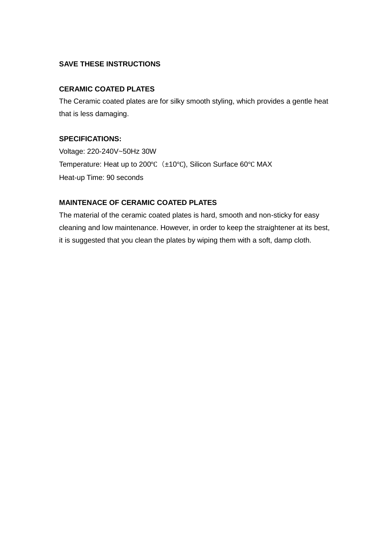# **SAVE THESE INSTRUCTIONS**

### **CERAMIC COATED PLATES**

The Ceramic coated plates are for silky smooth styling, which provides a gentle heat that is less damaging.

#### **SPECIFICATIONS:**

Voltage: 220-240V~50Hz 30W Temperature: Heat up to 200°C (±10°C), Silicon Surface 60°C MAX Heat-up Time: 90 seconds

### **MAINTENACE OF CERAMIC COATED PLATES**

The material of the ceramic coated plates is hard, smooth and non-sticky for easy cleaning and low maintenance. However, in order to keep the straightener at its best, it is suggested that you clean the plates by wiping them with a soft, damp cloth.